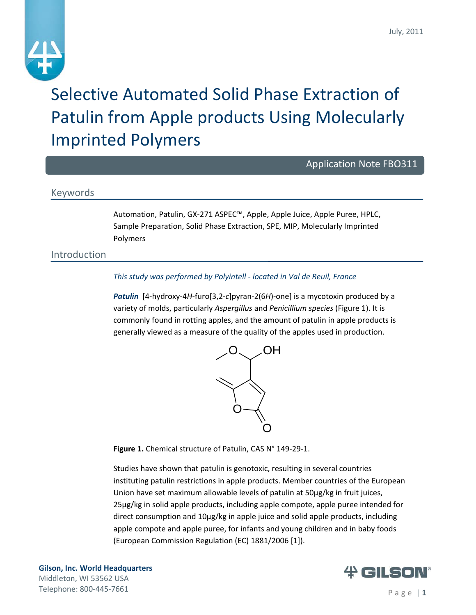



# Selective Automated Solid Phase Extraction of Patulin from Apple products Using Molecularly Imprinted Polymers

Application Note FBO311

#### Keywords

Automation, Patulin, GX‐271 ASPEC™, Apple, Apple Juice, Apple Puree, HPLC, Sample Preparation, Solid Phase Extraction, SPE, MIP, Molecularly Imprinted Polymers

Introduction

#### *This study was performed by Polyintell ‐ located in Val de Reuil, France*

*Patulin* [4‐hydroxy‐4*H*‐furo[3,2‐*c*]pyran‐2(6*H*)‐one] is a mycotoxin produced by a variety of molds, particularly *Aspergillus* and *Penicillium species* (Figure 1). It is commonly found in rotting apples, and the amount of patulin in apple products is generally viewed as a measure of the quality of the apples used in production.



**Figure 1.** Chemical structure of Patulin, CAS N° 149‐29‐1.

Studies have shown that patulin is genotoxic, resulting in several countries instituting patulin restrictions in apple products. Member countries of the European Union have set maximum allowable levels of patulin at 50µg/kg in fruit juices, 25µg/kg in solid apple products, including apple compote, apple puree intended for direct consumption and 10µg/kg in apple juice and solid apple products, including apple compote and apple puree, for infants and young children and in baby foods (European Commission Regulation (EC) 1881/2006 [1]).

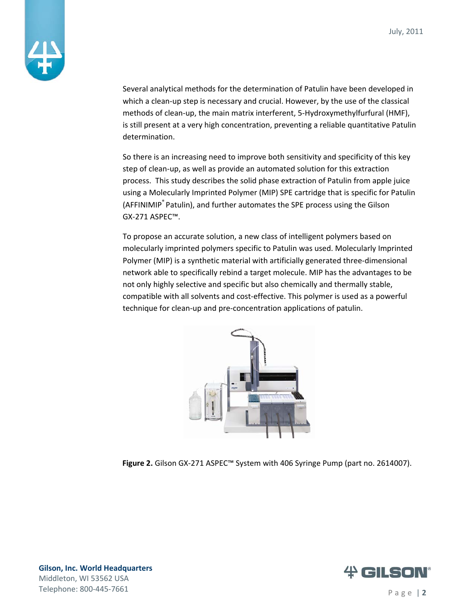

Several analytical methods for the determination of Patulin have been developed in which a clean-up step is necessary and crucial. However, by the use of the classical methods of clean-up, the main matrix interferent, 5-Hydroxymethylfurfural (HMF), is still present at a very high concentration, preventing a reliable quantitative Patulin determination.

So there is an increasing need to improve both sensitivity and specificity of this key step of clean‐up, as well as provide an automated solution for this extraction process. This study describes the solid phase extraction of Patulin from apple juice using a Molecularly Imprinted Polymer (MIP) SPE cartridge that is specific for Patulin (AFFINIMIP<sup>®</sup> Patulin), and further automates the SPE process using the Gilson GX‐271 ASPEC™.

To propose an accurate solution, a new class of intelligent polymers based on molecularly imprinted polymers specific to Patulin was used. Molecularly Imprinted Polymer (MIP) is a synthetic material with artificially generated three‐dimensional network able to specifically rebind a target molecule. MIP has the advantages to be not only highly selective and specific but also chemically and thermally stable, compatible with all solvents and cost‐effective. This polymer is used as a powerful technique for clean‐up and pre‐concentration applications of patulin.



**Figure 2.** Gilson GX‐271 ASPEC™ System with 406 Syringe Pump (part no. 2614007).

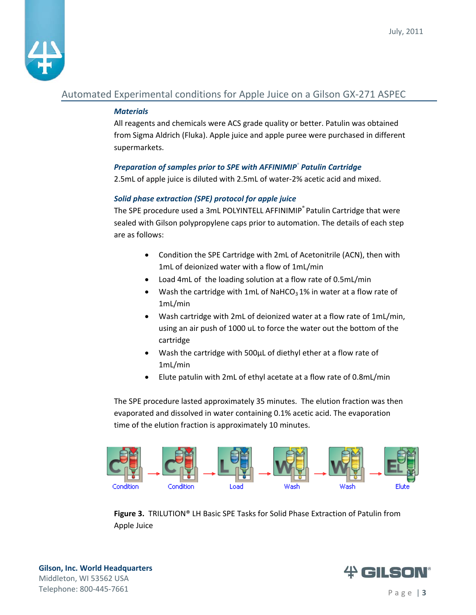

# Automated Experimental conditions for Apple Juice on a Gilson GX‐271 ASPEC

#### *Materials*

All reagents and chemicals were ACS grade quality or better. Patulin was obtained from Sigma Aldrich (Fluka). Apple juice and apple puree were purchased in different supermarkets.

#### *Preparation of samples prior to SPE with AFFINIMIP® Patulin Cartridge*

2.5mL of apple juice is diluted with 2.5mL of water‐2% acetic acid and mixed.

#### *Solid phase extraction (SPE) protocol for apple juice*

The SPE procedure used a 3mL POLYINTELL AFFINIMIP® Patulin Cartridge that were sealed with Gilson polypropylene caps prior to automation. The details of each step are as follows:

- Condition the SPE Cartridge with 2mL of Acetonitrile (ACN), then with 1mL of deionized water with a flow of 1mL/min
- Load 4mL of the loading solution at a flow rate of 0.5mL/min
- Wash the cartridge with 1mL of NaHCO<sub>3</sub> 1% in water at a flow rate of 1mL/min
- Wash cartridge with 2mL of deionized water at a flow rate of 1mL/min, using an air push of 1000 uL to force the water out the bottom of the cartridge
- Wash the cartridge with 500µL of diethyl ether at a flow rate of 1mL/min
- Elute patulin with 2mL of ethyl acetate at a flow rate of 0.8mL/min

The SPE procedure lasted approximately 35 minutes. The elution fraction was then evaporated and dissolved in water containing 0.1% acetic acid. The evaporation time of the elution fraction is approximately 10 minutes.



**Figure 3.** TRILUTION® LH Basic SPE Tasks for Solid Phase Extraction of Patulin from Apple Juice

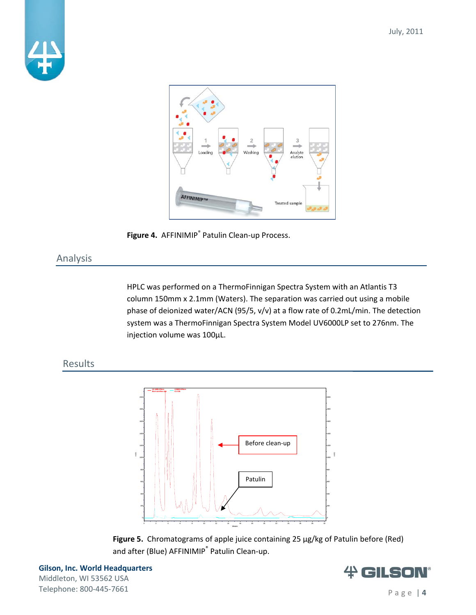



**Figure 4.** AFFINIMIP® Patulin Clean‐up Process.

# Analysis

HPLC was performed on a ThermoFinnigan Spectra System with an Atlantis T3 column 150mm x 2.1mm (Waters). The separation was carried out using a mobile phase of deionized water/ACN (95/5, v/v) at a flow rate of 0.2mL/min. The detection system was a ThermoFinnigan Spectra System Model UV6000LP set to 276nm. The injection volume was 100µL.

## Results



**Figure 5.** Chromatograms of apple juice containing 25 µg/kg of Patulin before (Red) and after (Blue) AFFINIMIP® Patulin Clean-up.

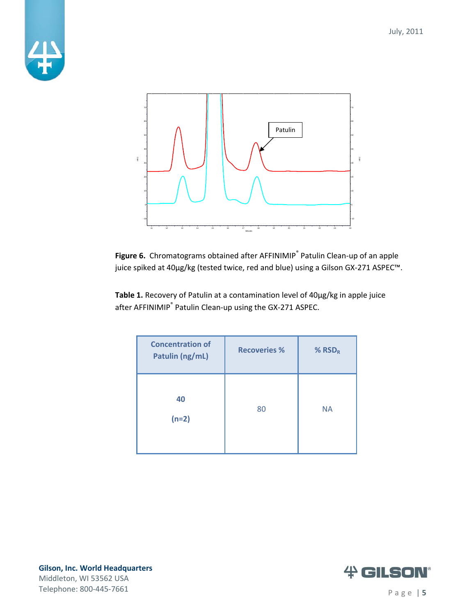



**Figure 6.** Chromatograms obtained after AFFINIMIP® Patulin Clean‐up of an apple juice spiked at 40µg/kg (tested twice, red and blue) using a Gilson GX‐271 ASPEC™.

**Table 1.** Recovery of Patulin at a contamination level of 40µg/kg in apple juice after AFFINIMIP® Patulin Clean-up using the GX-271 ASPEC.

| <b>Concentration of</b><br>Patulin (ng/mL) | <b>Recoveries %</b> | % $RSD_R$ |
|--------------------------------------------|---------------------|-----------|
| 40<br>$(n=2)$                              | 80                  | <b>NA</b> |